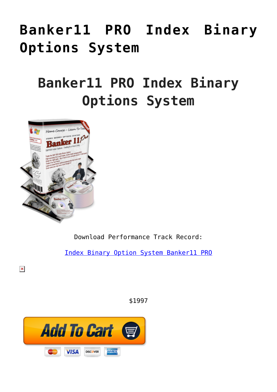# **[Banker11 PRO Index Binary](https://binaryoptionsauthority.com/binary-options-authority/binary-option-systems/banker11-pro-index-binary-options-system/) [Options System](https://binaryoptionsauthority.com/binary-options-authority/binary-option-systems/banker11-pro-index-binary-options-system/)**

## **Banker11 PRO Index Binary Options System**



 $\pmb{\times}$ 

Download Performance Track Record:

[Index Binary Option System Banker11 PRO](https://binaryoptionsauthority.com/wp-content/uploads/2015/02/Index-Binary-Option-System-Banker11-PRO.pdf)

\$1997

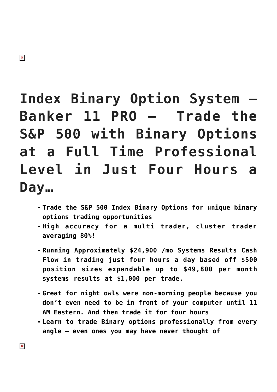# **Index Binary Option System – Banker 11 PRO – Trade the S&P 500 with Binary Options at a Full Time Professional Level in Just Four Hours a Day…**

- **Trade the S&P 500 Index Binary Options for unique binary options trading opportunities**
- **High accuracy for a multi trader, cluster trader averaging 80%!**
- **Running Approximately \$24,900 /mo Systems Results Cash Flow in trading just four hours a day based off \$500 position sizes expandable up to \$49,800 per month systems results at \$1,000 per trade.**
- **Great for night owls were non-morning people because you don't even need to be in front of your computer until 11 AM Eastern. And then trade it for four hours**
- **Learn to trade Binary options professionally from every angle — even ones you may have never thought of**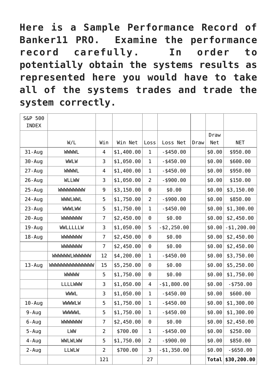**Here is a Sample Performance Record of Banker11 PRO. Examine the performance record carefully. In order to potentially obtain the systems results as represented here you would have to take all of the systems trades and trade the system correctly.**

| S&P 500<br>INDEX |                       |                |            |                |                |      |        |               |
|------------------|-----------------------|----------------|------------|----------------|----------------|------|--------|---------------|
|                  |                       |                |            |                |                |      | Draw   |               |
|                  | W/L                   | Win            | Win Net    | Loss           | Loss Net       | Draw | Net    | <b>NET</b>    |
| $31 - Aug$       | <b>WWWL</b>           | 4              | \$1,400.00 | $\mathbf 1$    | $-$ \$450.00   |      | \$0.00 | \$950.00      |
| 30-Aug           | <b>WWLW</b>           | 3              | \$1,050.00 | $\mathbf{1}$   | $-$ \$450.00   |      | \$0.00 | \$600.00      |
| $27 - Aug$       | <b>WWWL</b>           | 4              | \$1,400.00 | 1              | $-$ \$450.00   |      | \$0.00 | \$950.00      |
| $26 - Aug$       | <b>WLLWW</b>          | 3              | \$1,050.00 | $\overline{2}$ | $-$ \$900.00   |      | \$0.00 | \$150.00      |
| $25 - Aug$       | WWWWWWW               | 9              | \$3,150.00 | $\Theta$       | \$0.00         |      | \$0.00 | \$3,150.00    |
| 24 - Aug         | <b>WWWLWWL</b>        | 5              | \$1,750.00 | $\overline{2}$ | $-$ \$900.00   |      | \$0.00 | \$850.00      |
| $23 - Aug$       | <b>WWWLWW</b>         | 5              | \$1,750.00 | $\mathbf 1$    | $-$ \$450.00   |      | \$0.00 | \$1,300.00    |
| $20 - Aug$       | <b>WWWWWW</b>         | 7              | \$2,450.00 | $\Theta$       | \$0.00         |      | \$0.00 | \$2,450.00    |
| 19-Aug           | WWLLLLLW              | 3              | \$1,050.00 | 5              | $-$ \$2,250.00 |      | \$0.00 | $- $1,200.00$ |
| 18 - Aug         | <b>WWWWWW</b>         | $\overline{7}$ | \$2,450.00 | $\Theta$       | \$0.00         |      | \$0.00 | \$2,450.00    |
|                  | <b>WWWWWW</b>         | 7              | \$2,450.00 | $\Theta$       | \$0.00         |      | \$0.00 | \$2,450.00    |
|                  | <b>WWWWWLWWWWW</b>    | 12             | \$4,200.00 | $\mathbf{1}$   | $-$ \$450.00   |      | \$0.00 | \$3,750.00    |
| $13 - Aug$       | <b>MMMMMMMMMMMMMM</b> | 15             | \$5,250.00 | $\Theta$       | \$0.00         |      | \$0.00 | \$5,250.00    |
|                  | <b>WWWW</b>           | 5              | \$1,750.00 | $\Theta$       | \$0.00         |      | \$0.00 | \$1,750.00    |
|                  | <b>LLLLWWW</b>        | 3              | \$1,050.00 | 4              | $- $1,800.00$  |      | \$0.00 | $-$ \$750.00  |
|                  | <b>WWWL</b>           | 3              | \$1,050.00 | $\mathbf{1}$   | $-$ \$450.00   |      | \$0.00 | \$600.00      |
| $10 - Aug$       | <b>WWWLW</b>          | 5              | \$1,750.00 | 1              | $-$ \$450.00   |      | \$0.00 | \$1,300.00    |
| $9 - Aug$        | <b>WWWWL</b>          | 5              | \$1,750.00 | 1              | $-$ \$450.00   |      | \$0.00 | \$1,300.00    |
| $6 - Aug$        | <b>WWWWWW</b>         | $\overline{7}$ | \$2,450.00 | $\Theta$       | \$0.00         |      | \$0.00 | \$2,450.00    |
| $5 - Aug$        | LWW                   | $\overline{2}$ | \$700.00   | 1              | $-$ \$450.00   |      | \$0.00 | \$250.00      |
| $4 - Aug$        | <b>WWLWLWW</b>        | 5              | \$1,750.00 | $\overline{2}$ | $-$ \$900.00   |      | \$0.00 | \$850.00      |
| $2 - Aug$        | <b>LLWLW</b>          | $\overline{2}$ | \$700.00   | 3              | $- $1,350.00$  |      | \$0.00 | $-$ \$650.00  |
|                  |                       | 121            |            | 27             |                |      | Total  | \$30,200.00   |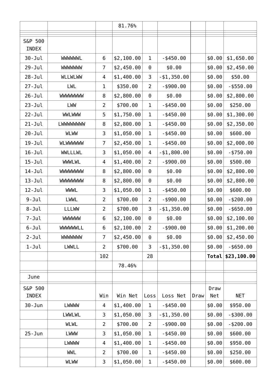|            |                |                | 81.76%     |                |                |      |        |              |
|------------|----------------|----------------|------------|----------------|----------------|------|--------|--------------|
| S&P 500    |                |                |            |                |                |      |        |              |
| INDEX      |                |                |            |                |                |      |        |              |
| $30 - Jul$ | <b>WWWWWL</b>  | 6              | \$2,100.00 | 1              | $-$ \$450.00   |      | \$0.00 | \$1,650.00   |
| $29 - Jul$ | <b>WWWWWW</b>  | 7              | \$2,450.00 | 0              | \$0.00         |      | \$0.00 | \$2,450.00   |
| $28 - Jul$ | <b>WLLWLWW</b> | 4              | \$1,400.00 | 3              | $- $1,350.00$  |      | \$0.00 | \$50.00      |
| $27 - Jul$ | LWL            | 1              | \$350.00   | $\overline{2}$ | $-$ \$900.00   |      | \$0.00 | $-$ \$550.00 |
| $26 - Jul$ | <b>WWWWWWW</b> | 8              | \$2,800.00 | $\Theta$       | \$0.00         |      | \$0.00 | \$2,800.00   |
| $23 - Jul$ | LWW            | $\overline{2}$ | \$700.00   | $\mathbf 1$    | $-$ \$450.00   |      | \$0.00 | \$250.00     |
| $22 - Jul$ | <b>WWLWWW</b>  | 5              | \$1,750.00 | $\mathbf 1$    | $-$ \$450.00   |      | \$0.00 | \$1,300.00   |
| $21 - Jul$ | LWWWWWWW       | 8              | \$2,800.00 | 1              | $-$ \$450.00   |      | \$0.00 | \$2,350.00   |
| $20 - Jul$ | <b>WLWW</b>    | 3              | \$1,050.00 | 1              | $-$ \$450.00   |      | \$0.00 | \$600.00     |
| $19 - Jul$ | <b>WLWWWWW</b> | 7              | \$2,450.00 | $\mathbf 1$    | $-$ \$450.00   |      | \$0.00 | \$2,000.00   |
| $16 - Jul$ | <b>WWLLLWL</b> | 3              | \$1,050.00 | 4              | $- $1,800.00$  |      | \$0.00 | $- $750.00$  |
| $15 - Jul$ | <b>WWWLWL</b>  | 4              | \$1,400.00 | $\overline{2}$ | $-$ \$900.00   |      | \$0.00 | \$500.00     |
| $14 - Jul$ | <b>WWWWWW</b>  | 8              | \$2,800.00 | $\Theta$       | \$0.00         |      | \$0.00 | \$2,800.00   |
| $13 - Jul$ | <b>WWWWWWW</b> | 8              | \$2,800.00 | $\Theta$       | \$0.00         |      | \$0.00 | \$2,800.00   |
| $12 - Jul$ | <b>WWWL</b>    | 3              | \$1,050.00 | $\mathbf 1$    | $-$ \$450.00   |      | \$0.00 | \$600.00     |
| $9 - Jul$  | <b>LWWL</b>    | 2              | \$700.00   | $\overline{2}$ | $-$ \$900.00   |      | \$0.00 | $-$ \$200.00 |
| $8 - Jul$  | <b>LLLWW</b>   | $\overline{2}$ | \$700.00   | 3              | $-$ \$1,350.00 |      | \$0.00 | $-$ \$650.00 |
| $7 - Jul$  | <b>WWWWW</b>   | 6              | \$2,100.00 | $\Theta$       | \$0.00         |      | \$0.00 | \$2,100.00   |
| 6-Jul      | WWWWWLL        | 6              | \$2,100.00 | 2              | $-$ \$900.00   |      | \$0.00 | \$1,200.00   |
| $2 - Jul$  | <b>MMMMMM</b>  | 7              | \$2,450.00 | 0              | \$0.00         |      | \$0.00 | \$2,450.00   |
| $1 - J$ ul | <b>LWWLL</b>   | 2              | \$700.00   | 3              | $- $1,350.00$  |      | \$0.00 | $-$ \$650.00 |
|            |                | 102            |            | 28             |                |      | Total  | \$23,100.00  |
|            |                |                | 78.46%     |                |                |      |        |              |
| June       |                |                |            |                |                |      |        |              |
| S&P 500    |                |                |            |                |                |      | Draw   |              |
| INDEX      |                | Win            | Win Net    | Loss           | Loss Net       | Draw | Net    | <b>NET</b>   |
| $30 - Jun$ | <b>LWWWW</b>   | 4              | \$1,400.00 | 1              | $-$ \$450.00   |      | \$0.00 | \$950.00     |
|            | <b>LWWLWL</b>  | 3              | \$1,050.00 | 3              | $- $1,350.00$  |      | \$0.00 | $-$ \$300.00 |
|            | <b>WLWL</b>    | $\overline{2}$ | \$700.00   | $\overline{2}$ | $-$ \$900.00   |      | \$0.00 | $- $200.00$  |
| $25 - Jun$ | LWWW           | 3              | \$1,050.00 | 1              | $-$ \$450.00   |      | \$0.00 | \$600.00     |
|            | <b>LWWWW</b>   | 4              | \$1,400.00 | 1              | $-$ \$450.00   |      | \$0.00 | \$950.00     |
|            | <b>WML</b>     | 2              | \$700.00   | 1              | $-$ \$450.00   |      | \$0.00 | \$250.00     |
|            | <b>WLWW</b>    | 3              | \$1,050.00 | 1              | $-$ \$450.00   |      | \$0.00 | \$600.00     |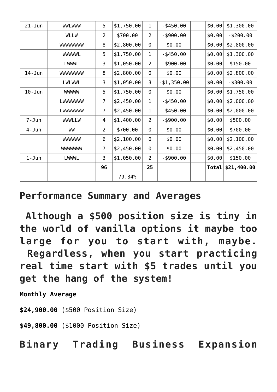| $21 - Jun$ | <b>WWLWWW</b>  | 5              | \$1,750.00 | 1              | $-$ \$450.00  | \$0.00 | \$1,300.00   |
|------------|----------------|----------------|------------|----------------|---------------|--------|--------------|
|            | <b>WLLW</b>    | 2              | \$700.00   | $\overline{2}$ | $-$ \$900.00  | \$0.00 | $- $200.00$  |
|            | <b>WWWWWWW</b> | 8              | \$2,800.00 | $\Theta$       | \$0.00        | \$0.00 | \$2,800.00   |
|            | <b>WWWWL</b>   | 5              | \$1,750.00 | $\mathbf 1$    | $-$ \$450.00  | \$0.00 | \$1,300.00   |
|            | <b>LWWWL</b>   | 3              | \$1,050.00 | $\overline{2}$ | $-$ \$900.00  | \$0.00 | \$150.00     |
| $14 - Jun$ | <b>MMMMMMM</b> | 8              | \$2,800.00 | $\Theta$       | \$0.00        | \$0.00 | \$2,800.00   |
|            | <b>LWLWWL</b>  | 3              | \$1,050.00 | 3              | $- $1,350.00$ | \$0.00 | $-$ \$300.00 |
| $10 - Jun$ | <b>WWWW</b>    | 5              | \$1,750.00 | 0              | \$0.00        | \$0.00 | \$1,750.00   |
|            | <b>LWWWWWW</b> | 7              | \$2,450.00 | $\mathbf 1$    | $-$ \$450.00  | \$0.00 | \$2,000.00   |
|            | LWWWWWW        | 7              | \$2,450.00 | 1              | $-$ \$450.00  | \$0.00 | \$2,000.00   |
| $7 - Jun$  | <b>WWWLLW</b>  | 4              | \$1,400.00 | $\overline{2}$ | $-$ \$900.00  | \$0.00 | \$500.00     |
| $4 - Jun$  | WW             | $\overline{2}$ | \$700.00   | $\Theta$       | \$0.00        | \$0.00 | \$700.00     |
|            | <b>WWWWW</b>   | 6              | \$2,100.00 | 0              | \$0.00        | \$0.00 | \$2,100.00   |
|            | <b>MMMMMM</b>  | 7              | \$2,450.00 | $\Theta$       | \$0.00        | \$0.00 | \$2,450.00   |
| $1 - Jun$  | <b>LWWWL</b>   | 3              | \$1,050.00 | $\overline{2}$ | $-$ \$900.00  | \$0.00 | \$150.00     |
|            |                | 96             |            | 25             |               | Total  | \$21,400.00  |
|            |                |                | 79.34%     |                |               |        |              |

#### **Performance Summary and Averages**

 **Although a \$500 position size is tiny in the world of vanilla options it maybe too large for you to start with, maybe. Regardless, when you start practicing real time start with \$5 trades until you get the hang of the system!**

**Monthly Average**

**\$24,900.00** (\$500 Position Size)

**\$49,800.00** (\$1000 Position Size)

**Binary Trading Business Expansion**